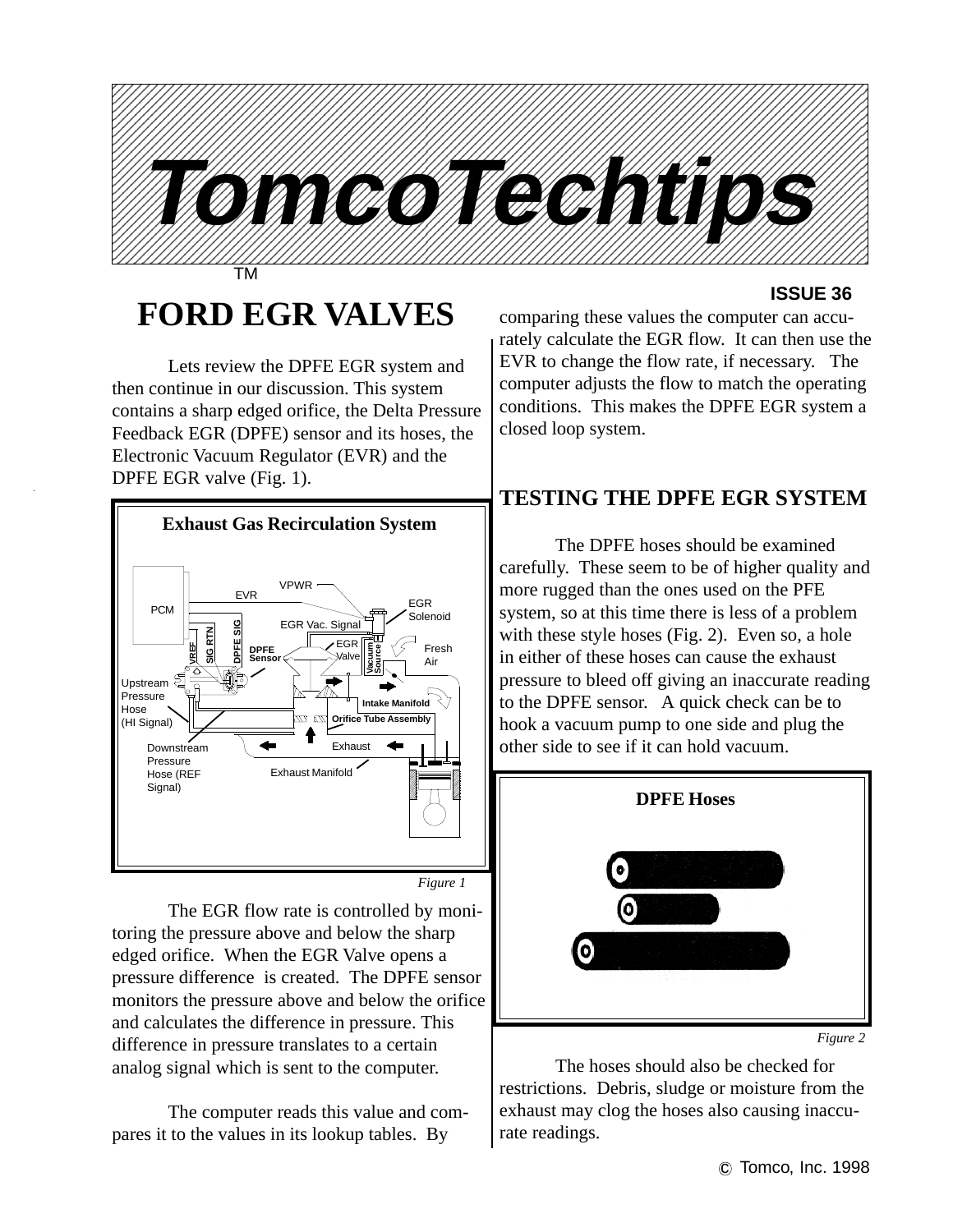

## **FORD EGR VALVES**

Lets review the DPFE EGR system and then continue in our discussion. This system contains a sharp edged orifice, the Delta Pressure Feedback EGR (DPFE) sensor and its hoses, the Electronic Vacuum Regulator (EVR) and the DPFE EGR valve (Fig. 1).



The EGR flow rate is controlled by monitoring the pressure above and below the sharp edged orifice. When the EGR Valve opens a pressure difference is created. The DPFE sensor monitors the pressure above and below the orifice and calculates the difference in pressure. This difference in pressure translates to a certain analog signal which is sent to the computer.

The computer reads this value and compares it to the values in its lookup tables. By

#### **ISSUE 36**

comparing these values the computer can accurately calculate the EGR flow. It can then use the EVR to change the flow rate, if necessary. The computer adjusts the flow to match the operating conditions. This makes the DPFE EGR system a closed loop system.

## **TESTING THE DPFE EGR SYSTEM**

The DPFE hoses should be examined carefully. These seem to be of higher quality and more rugged than the ones used on the PFE system, so at this time there is less of a problem with these style hoses (Fig. 2). Even so, a hole in either of these hoses can cause the exhaust pressure to bleed off giving an inaccurate reading to the DPFE sensor. A quick check can be to hook a vacuum pump to one side and plug the other side to see if it can hold vacuum.



*Figure 2*

The hoses should also be checked for restrictions. Debris, sludge or moisture from the exhaust may clog the hoses also causing inaccurate readings.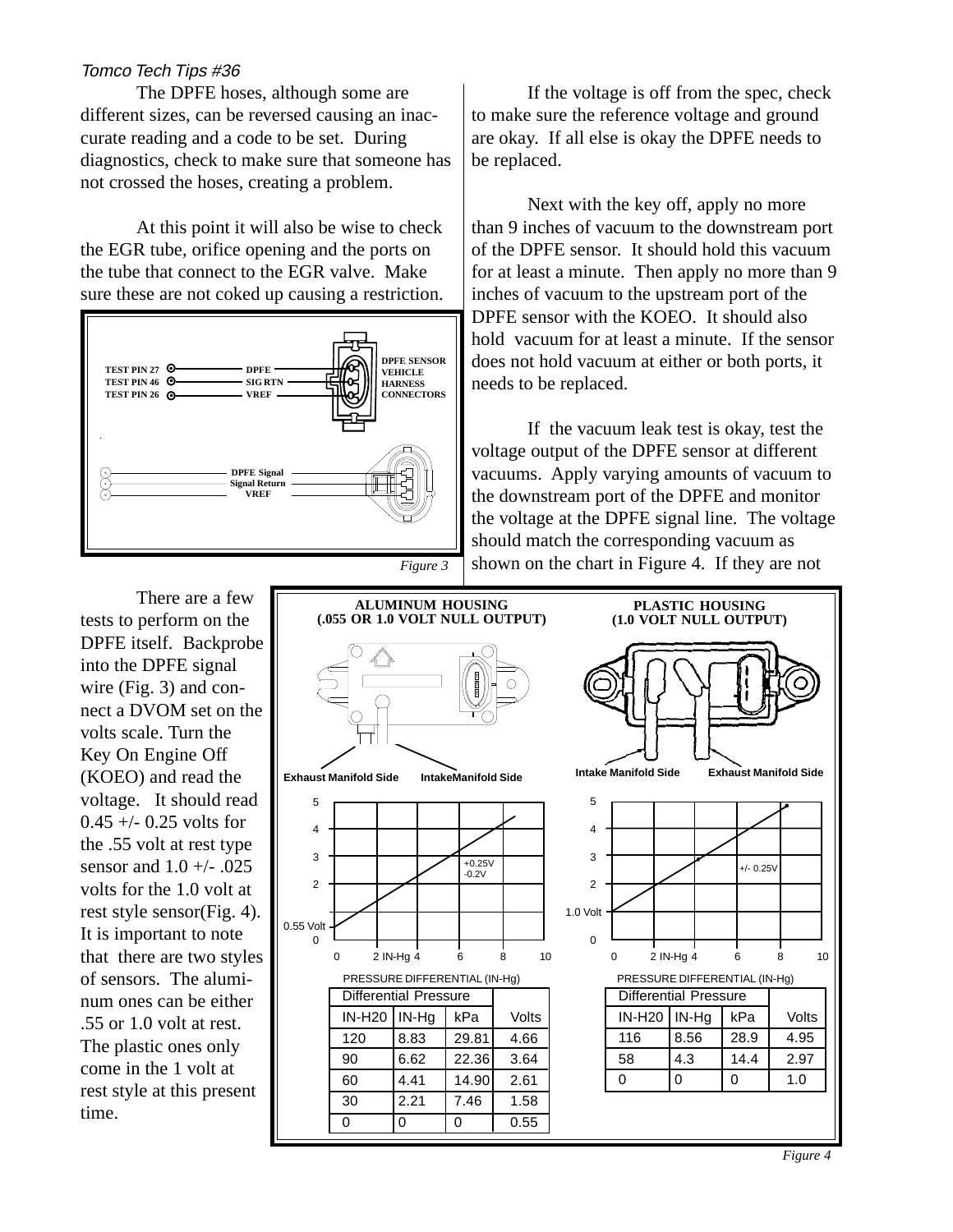#### Tomco Tech Tips #36

The DPFE hoses, although some are different sizes, can be reversed causing an inaccurate reading and a code to be set. During diagnostics, check to make sure that someone has not crossed the hoses, creating a problem.

At this point it will also be wise to check the EGR tube, orifice opening and the ports on the tube that connect to the EGR valve. Make sure these are not coked up causing a restriction.



If the voltage is off from the spec, check to make sure the reference voltage and ground are okay. If all else is okay the DPFE needs to be replaced.

Next with the key off, apply no more than 9 inches of vacuum to the downstream port of the DPFE sensor. It should hold this vacuum for at least a minute. Then apply no more than 9 inches of vacuum to the upstream port of the DPFE sensor with the KOEO. It should also hold vacuum for at least a minute. If the sensor does not hold vacuum at either or both ports, it needs to be replaced.

If the vacuum leak test is okay, test the voltage output of the DPFE sensor at different vacuums. Apply varying amounts of vacuum to the downstream port of the DPFE and monitor the voltage at the DPFE signal line. The voltage should match the corresponding vacuum as shown on the chart in Figure 4. If they are not

There are a few tests to perform on the DPFE itself. Backprobe into the DPFE signal wire (Fig. 3) and connect a DVOM set on the volts scale. Turn the Key On Engine Off (KOEO) and read the voltage. It should read  $0.45 + (-0.25 \text{ volts}$ the .55 volt at rest type sensor and  $1.0 +/- .025$ volts for the 1.0 volt at rest style sensor(Fig. 4). It is important to note that there are two styles of sensors. The aluminum ones can be either .55 or 1.0 volt at rest. The plastic ones only come in the 1 volt at rest style at this present time.



*Figure 4*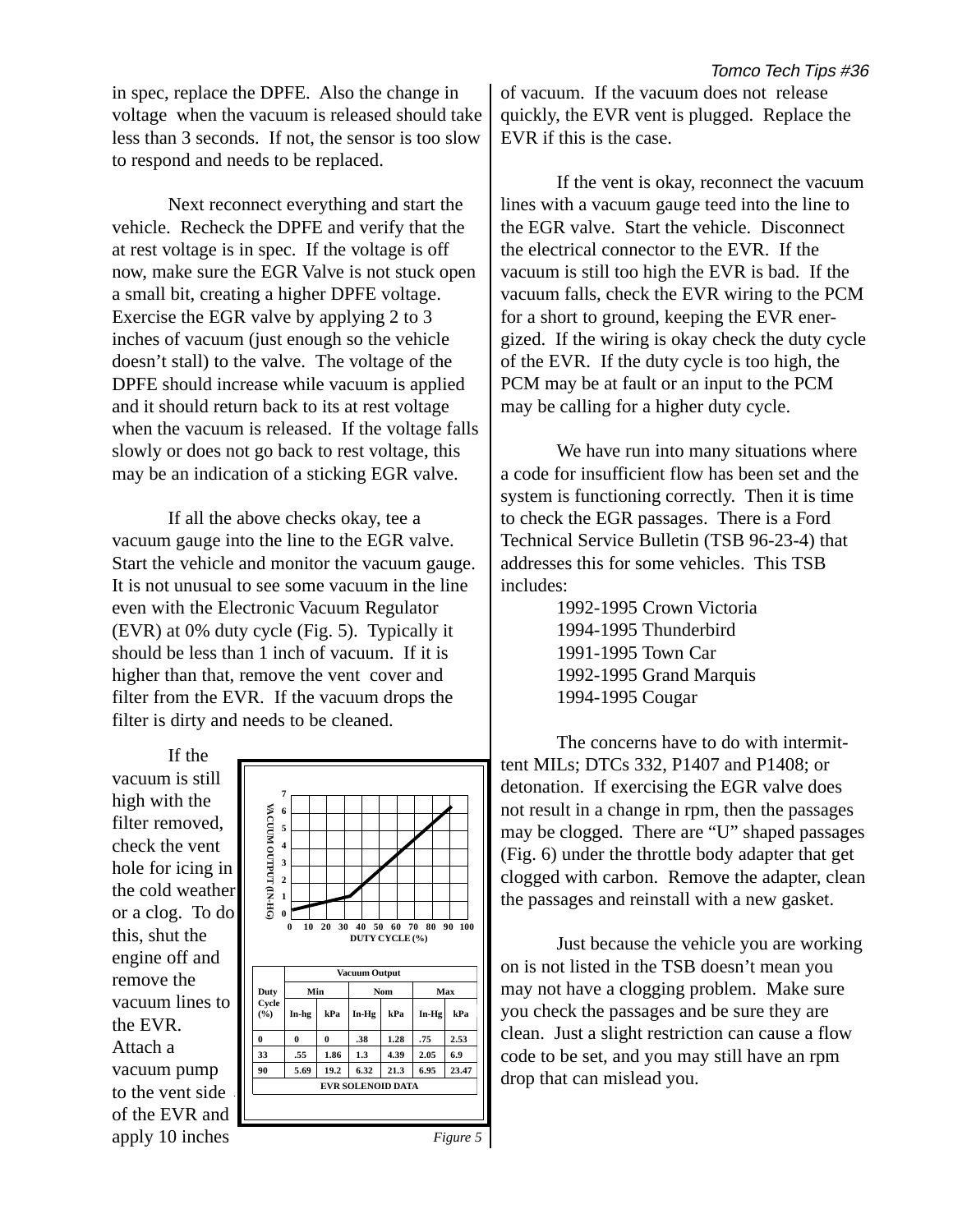in spec, replace the DPFE. Also the change in voltage when the vacuum is released should take less than 3 seconds. If not, the sensor is too slow to respond and needs to be replaced.

Next reconnect everything and start the vehicle. Recheck the DPFE and verify that the at rest voltage is in spec. If the voltage is off now, make sure the EGR Valve is not stuck open a small bit, creating a higher DPFE voltage. Exercise the EGR valve by applying 2 to 3 inches of vacuum (just enough so the vehicle doesn't stall) to the valve. The voltage of the DPFE should increase while vacuum is applied and it should return back to its at rest voltage when the vacuum is released. If the voltage falls slowly or does not go back to rest voltage, this may be an indication of a sticking EGR valve.

If all the above checks okay, tee a vacuum gauge into the line to the EGR valve. Start the vehicle and monitor the vacuum gauge. It is not unusual to see some vacuum in the line even with the Electronic Vacuum Regulator (EVR) at 0% duty cycle (Fig. 5). Typically it should be less than 1 inch of vacuum. If it is higher than that, remove the vent cover and filter from the EVR. If the vacuum drops the filter is dirty and needs to be cleaned.

If the vacuum is still high with the filter removed, check the vent hole for icing in the cold weather or a clog. To do this, shut the engine off and remove the vacuum lines to the EVR. Attach a vacuum pump to the vent side of the EVR and



of vacuum. If the vacuum does not release quickly, the EVR vent is plugged. Replace the EVR if this is the case.

If the vent is okay, reconnect the vacuum lines with a vacuum gauge teed into the line to the EGR valve. Start the vehicle. Disconnect the electrical connector to the EVR. If the vacuum is still too high the EVR is bad. If the vacuum falls, check the EVR wiring to the PCM for a short to ground, keeping the EVR energized. If the wiring is okay check the duty cycle of the EVR. If the duty cycle is too high, the PCM may be at fault or an input to the PCM may be calling for a higher duty cycle.

We have run into many situations where a code for insufficient flow has been set and the system is functioning correctly. Then it is time to check the EGR passages. There is a Ford Technical Service Bulletin (TSB 96-23-4) that addresses this for some vehicles. This TSB includes:

> 1992-1995 Crown Victoria 1994-1995 Thunderbird 1991-1995 Town Car 1992-1995 Grand Marquis 1994-1995 Cougar

The concerns have to do with intermittent MILs; DTCs 332, P1407 and P1408; or detonation. If exercising the EGR valve does not result in a change in rpm, then the passages may be clogged. There are "U" shaped passages (Fig. 6) under the throttle body adapter that get clogged with carbon. Remove the adapter, clean the passages and reinstall with a new gasket.

Just because the vehicle you are working on is not listed in the TSB doesn't mean you may not have a clogging problem. Make sure you check the passages and be sure they are clean. Just a slight restriction can cause a flow code to be set, and you may still have an rpm drop that can mislead you.